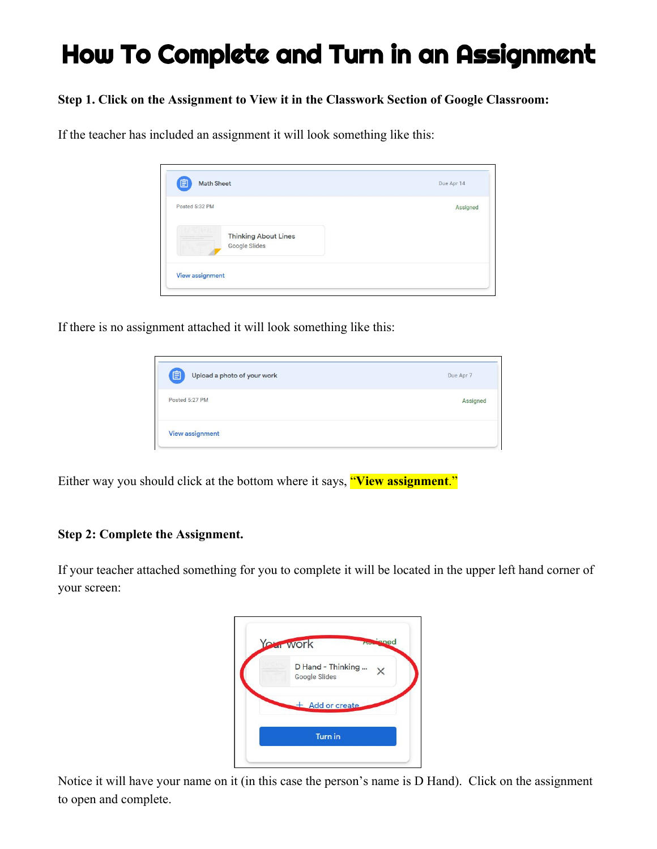# How To Complete and Turn in an Assignment

#### **Step 1. Click on the Assignment to View it in the Classwork Section of Google Classroom:**

If the teacher has included an assignment it will look something like this:

| Posted 5:32 PM                               | Assigned |
|----------------------------------------------|----------|
| <b>Thinking About Lines</b><br>Google Slides |          |
| <b>View assignment</b>                       |          |

If there is no assignment attached it will look something like this:

| 自<br>Upload a photo of your work | Due Apr 7 |
|----------------------------------|-----------|
| Posted 5:27 PM                   | Assigned  |
| <b>View assignment</b>           |           |

Either way you should click at the bottom where it says, "**View assignment**."

#### **Step 2: Complete the Assignment.**

If your teacher attached something for you to complete it will be located in the upper left hand corner of your screen:

| D Hand - Thinking $\times$ |
|----------------------------|
| <b>Google Slides</b>       |
| $+$ Add or create          |
|                            |

Notice it will have your name on it (in this case the person's name is D Hand). Click on the assignment to open and complete.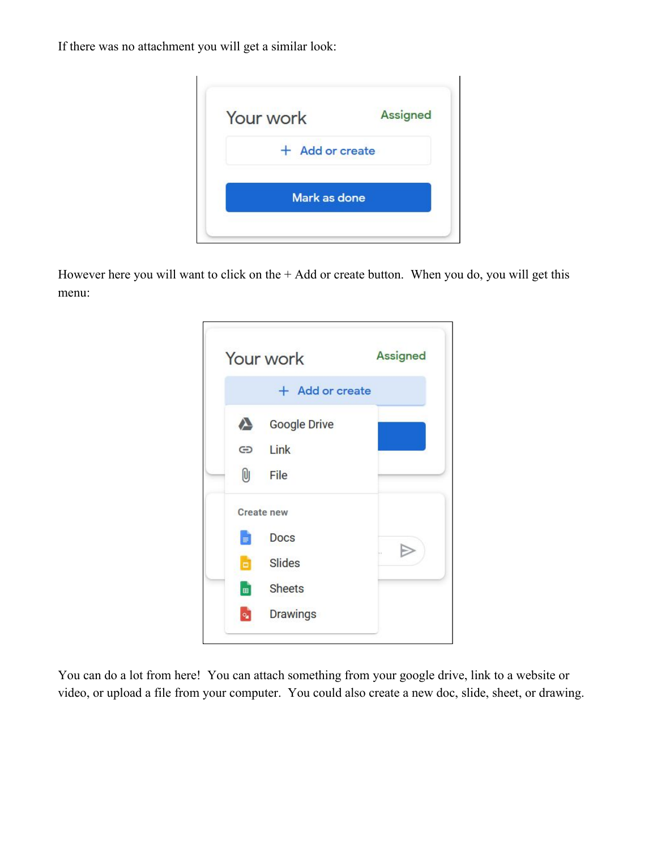If there was no attachment you will get a similar look:



However here you will want to click on the + Add or create button. When you do, you will get this menu:



You can do a lot from here! You can attach something from your google drive, link to a website or video, or upload a file from your computer. You could also create a new doc, slide, sheet, or drawing.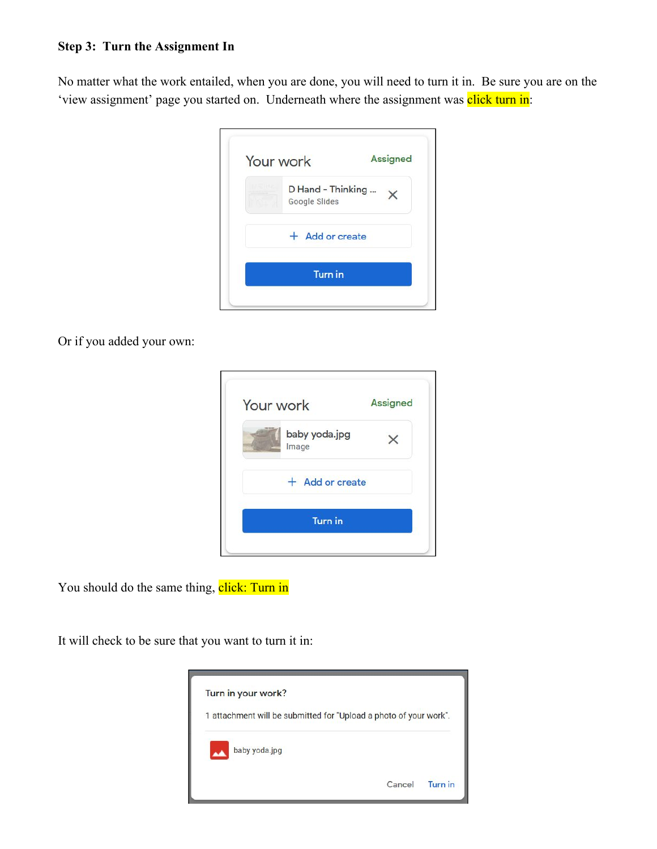### **Step 3: Turn the Assignment In**

No matter what the work entailed, when you are done, you will need to turn it in. Be sure you are on the 'view assignment' page you started on. Underneath where the assignment was click turn in:

| Your work |                                           | <b>Assigned</b> |
|-----------|-------------------------------------------|-----------------|
|           | D Hand - Thinking<br><b>Google Slides</b> |                 |
|           | + Add or create                           |                 |
|           | <b>Turn</b> in                            |                 |

Or if you added your own:

| Your work              | <b>Assigned</b> |
|------------------------|-----------------|
| baby yoda.jpg<br>Image |                 |
| + Add or create        |                 |
| <b>Turn in</b>         |                 |

You should do the same thing, click: Turn in

It will check to be sure that you want to turn it in: